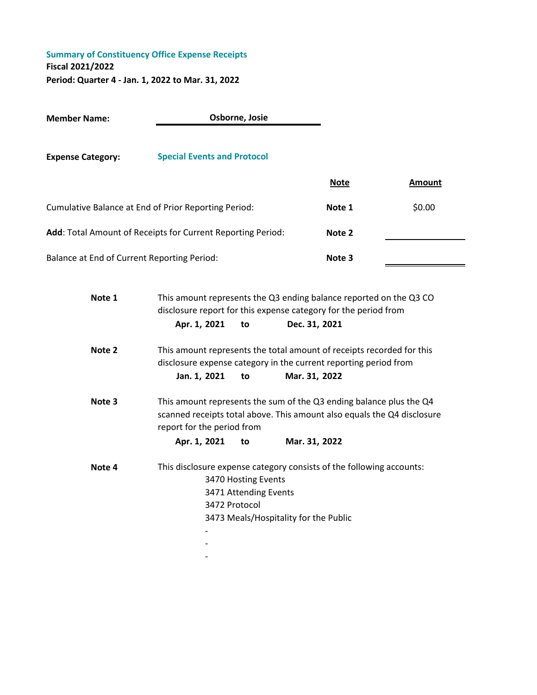|                                                                                                                                                                                        |               |                                                                                                                                            | <b>Note</b>                                                                                                 | <b>Amount</b>                                                                                                                                                                                                                                                                                                                                                                                         |
|----------------------------------------------------------------------------------------------------------------------------------------------------------------------------------------|---------------|--------------------------------------------------------------------------------------------------------------------------------------------|-------------------------------------------------------------------------------------------------------------|-------------------------------------------------------------------------------------------------------------------------------------------------------------------------------------------------------------------------------------------------------------------------------------------------------------------------------------------------------------------------------------------------------|
|                                                                                                                                                                                        |               |                                                                                                                                            | Note 1                                                                                                      | \$0.00                                                                                                                                                                                                                                                                                                                                                                                                |
|                                                                                                                                                                                        |               |                                                                                                                                            | Note 2                                                                                                      |                                                                                                                                                                                                                                                                                                                                                                                                       |
| Balance at End of Current Reporting Period:                                                                                                                                            |               |                                                                                                                                            | Note 3                                                                                                      |                                                                                                                                                                                                                                                                                                                                                                                                       |
| Note 1<br>This amount represents the Q3 ending balance reported on the Q3 CO<br>disclosure report for this expense category for the period from<br>Apr. 1, 2021<br>Dec. 31, 2021<br>to |               |                                                                                                                                            |                                                                                                             |                                                                                                                                                                                                                                                                                                                                                                                                       |
| Jan. 1, 2021                                                                                                                                                                           | to            |                                                                                                                                            |                                                                                                             |                                                                                                                                                                                                                                                                                                                                                                                                       |
|                                                                                                                                                                                        |               |                                                                                                                                            |                                                                                                             |                                                                                                                                                                                                                                                                                                                                                                                                       |
| Apr. 1, 2021                                                                                                                                                                           | to            |                                                                                                                                            |                                                                                                             |                                                                                                                                                                                                                                                                                                                                                                                                       |
|                                                                                                                                                                                        |               |                                                                                                                                            |                                                                                                             |                                                                                                                                                                                                                                                                                                                                                                                                       |
|                                                                                                                                                                                        | 3472 Protocol | Osborne, Josie<br><b>Special Events and Protocol</b><br>Cumulative Balance at End of Prior Reporting Period:<br>report for the period from | Add: Total Amount of Receipts for Current Reporting Period:<br>3470 Hosting Events<br>3471 Attending Events | This amount represents the total amount of receipts recorded for this<br>disclosure expense category in the current reporting period from<br>Mar. 31, 2022<br>This amount represents the sum of the Q3 ending balance plus the Q4<br>scanned receipts total above. This amount also equals the Q4 disclosure<br>Mar. 31, 2022<br>This disclosure expense category consists of the following accounts: |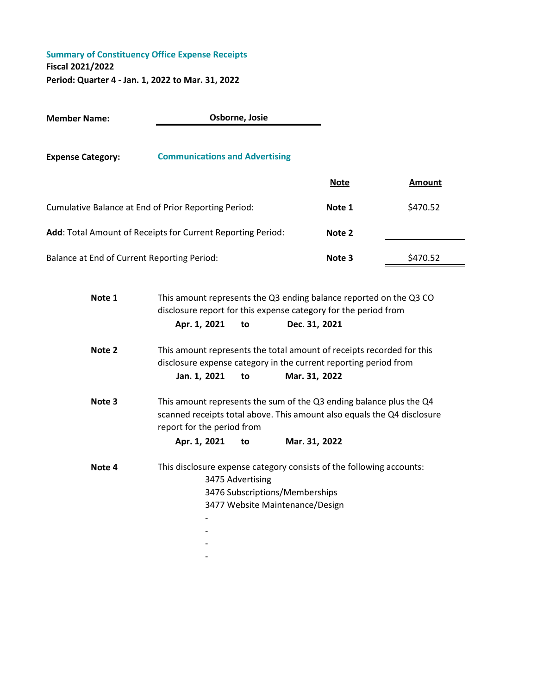**Member Name: Expense Category: Communications and Advertising Note Amount** Cumulative Balance at End of Prior Reporting Period: **Note 1** \$470.52 Add: Total Amount of Receipts for Current Reporting Period: **Note 2** Balance at End of Current Reporting Period: **Note 3** \$470.52 **Note 1 Apr. 1, 2021 to Dec. 31, 2021 Note 2 Jan. 1, 2021 to Mar. 31, 2022 Note 3 Apr. 1, 2021 to Mar. 31, 2022 Note 4** This disclosure expense category consists of the following accounts: 3477 Website Maintenance/Design - - - - **Osborne, Josie** This amount represents the Q3 ending balance reported on the Q3 CO disclosure report for this expense category for the period from This amount represents the total amount of receipts recorded for this disclosure expense category in the current reporting period from This amount represents the sum of the Q3 ending balance plus the Q4 scanned receipts total above. This amount also equals the Q4 disclosure report for the period from 3475 Advertising 3476 Subscriptions/Memberships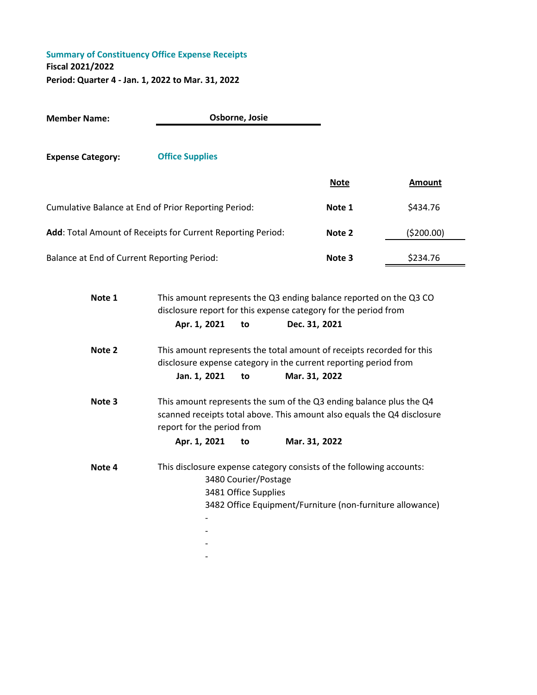**Member Name: Expense Category: Office Supplies Note Amount** Cumulative Balance at End of Prior Reporting Period: **Note 1** \$434.76 Add: Total Amount of Receipts for Current Reporting Period: **Note 2** (\$200.00) Balance at End of Current Reporting Period: **Note 3** \$234.76 **Osborne, Josie**

| Note 1 | This amount represents the Q3 ending balance reported on the Q3 CO<br>disclosure report for this expense category for the period from |                                              |                                                                                                                                                |
|--------|---------------------------------------------------------------------------------------------------------------------------------------|----------------------------------------------|------------------------------------------------------------------------------------------------------------------------------------------------|
|        | Apr. 1, 2021 to                                                                                                                       |                                              | Dec. 31, 2021                                                                                                                                  |
| Note 2 |                                                                                                                                       |                                              | This amount represents the total amount of receipts recorded for this<br>disclosure expense category in the current reporting period from      |
|        | Jan. 1, 2021                                                                                                                          | to                                           | Mar. 31, 2022                                                                                                                                  |
| Note 3 | report for the period from                                                                                                            |                                              | This amount represents the sum of the Q3 ending balance plus the Q4<br>scanned receipts total above. This amount also equals the Q4 disclosure |
|        | Apr. 1, 2021 to                                                                                                                       |                                              | Mar. 31, 2022                                                                                                                                  |
| Note 4 |                                                                                                                                       | 3480 Courier/Postage<br>3481 Office Supplies | This disclosure expense category consists of the following accounts:<br>3482 Office Equipment/Furniture (non-furniture allowance)              |
|        |                                                                                                                                       |                                              |                                                                                                                                                |

-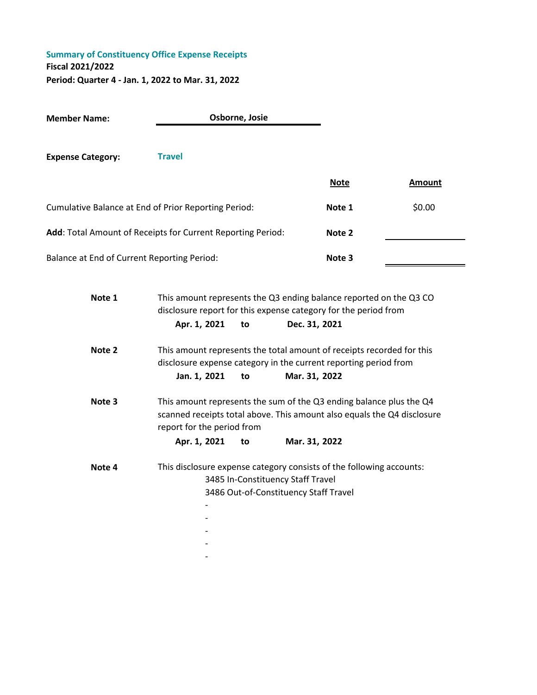| <b>Member Name:</b>                                         |                                                                                                                                                                              | Osborne, Josie |                                                                            |             |               |
|-------------------------------------------------------------|------------------------------------------------------------------------------------------------------------------------------------------------------------------------------|----------------|----------------------------------------------------------------------------|-------------|---------------|
| <b>Expense Category:</b>                                    | <b>Travel</b>                                                                                                                                                                |                |                                                                            | <b>Note</b> | <b>Amount</b> |
| Cumulative Balance at End of Prior Reporting Period:        |                                                                                                                                                                              |                |                                                                            | Note 1      | \$0.00        |
| Add: Total Amount of Receipts for Current Reporting Period: |                                                                                                                                                                              |                |                                                                            | Note 2      |               |
| <b>Balance at End of Current Reporting Period:</b>          |                                                                                                                                                                              |                |                                                                            | Note 3      |               |
| Note 1                                                      | This amount represents the Q3 ending balance reported on the Q3 CO<br>disclosure report for this expense category for the period from<br>Apr. 1, 2021                        | to             | Dec. 31, 2021                                                              |             |               |
| Note 2                                                      | This amount represents the total amount of receipts recorded for this<br>disclosure expense category in the current reporting period from<br>Jan. 1, 2021                    | to             | Mar. 31, 2022                                                              |             |               |
| Note 3                                                      | This amount represents the sum of the Q3 ending balance plus the Q4<br>scanned receipts total above. This amount also equals the Q4 disclosure<br>report for the period from |                |                                                                            |             |               |
|                                                             | Apr. 1, 2021                                                                                                                                                                 | to             | Mar. 31, 2022                                                              |             |               |
| Note 4                                                      | This disclosure expense category consists of the following accounts:                                                                                                         |                | 3485 In-Constituency Staff Travel<br>3486 Out-of-Constituency Staff Travel |             |               |
|                                                             |                                                                                                                                                                              |                |                                                                            |             |               |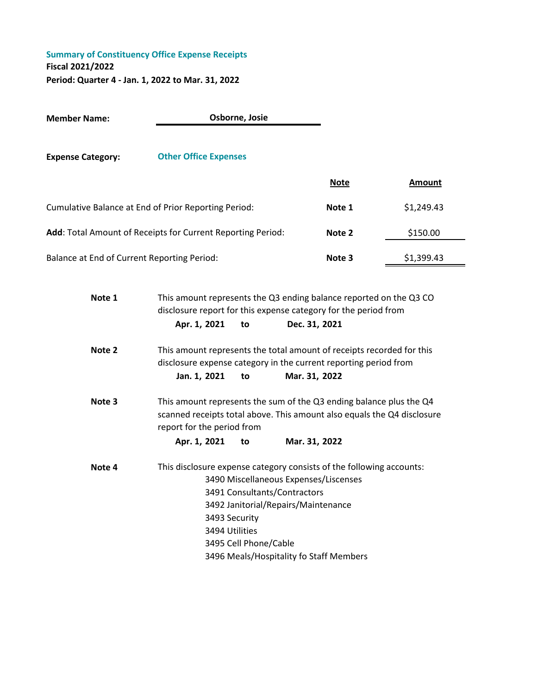**Member Name:**

**Expense Category: Other Office Expenses Note Amount** Cumulative Balance at End of Prior Reporting Period: **Note 1** \$1,249.43 **Add**: Total Amount of Receipts for Current Reporting Period: **Note 2** \$150.00 Balance at End of Current Reporting Period: **Note 3** \$1,399.43

**Osborne, Josie**

**Note 1 Apr. 1, 2021 to Dec. 31, 2021 Note 2 Jan. 1, 2021 to Mar. 31, 2022 Note 3 Apr. 1, 2021 to Mar. 31, 2022 Note 4** This disclosure expense category consists of the following accounts: 3492 Janitorial/Repairs/Maintenance 3493 Security 3494 Utilities 3495 Cell Phone/Cable This amount represents the Q3 ending balance reported on the Q3 CO disclosure report for this expense category for the period from This amount represents the total amount of receipts recorded for this disclosure expense category in the current reporting period from This amount represents the sum of the Q3 ending balance plus the Q4 scanned receipts total above. This amount also equals the Q4 disclosure report for the period from 3490 Miscellaneous Expenses/Liscenses 3491 Consultants/Contractors

3496 Meals/Hospitality fo Staff Members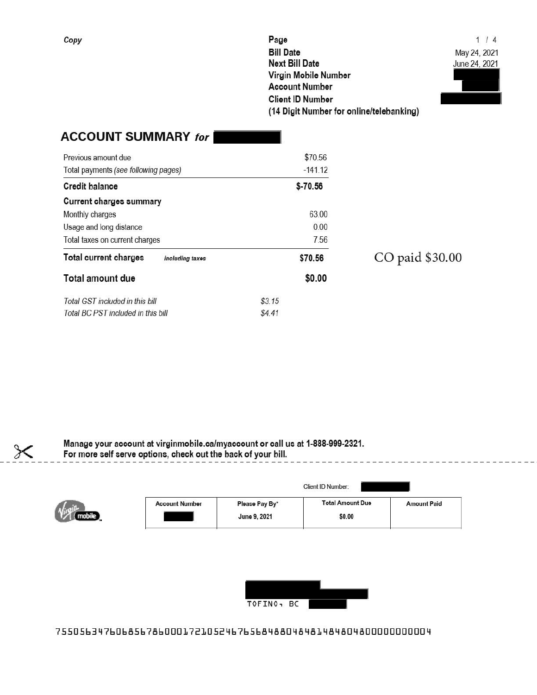Page **Bill Date Next Bill Date** Virgin Mobile Number **Account Number Client ID Number** (14 Digit Number for online/telebanking)

 $1/4$ May 24, 2021 June 24, 2021



# **ACCOUNT SUMMARY for**

| Previous amount due                             | \$70.56   |
|-------------------------------------------------|-----------|
| Total payments (see following pages)            | $-141.12$ |
| <b>Credit halance</b>                           | $$-70.56$ |
| Current charges summary                         |           |
| Monthly charges                                 | 63 00     |
| Usage and long distance                         | 0.00      |
| Total taxes on current charges                  | 7.56      |
| <b>Total current charges</b><br>including taxes | \$70.56   |
| Total amount due                                | \$0.00    |
| Total GST included in this bill                 | \$3.15    |
| Total BC PST included in this bill              | \$4.41    |

CO paid \$30.00

Manage your account at virginmobile.ca/myaccount or call us at 1-888-999-2321. For more self serve options, check out the back of your bill.



|                       |                                | Client ID Number:                 |                    |
|-----------------------|--------------------------------|-----------------------------------|--------------------|
| <b>Account Number</b> | Please Pay By*<br>June 9, 2021 | <b>Total Amount Due</b><br>\$0.00 | <b>Amount Paid</b> |



75505634760685678600017210524676568488048481484804800000000004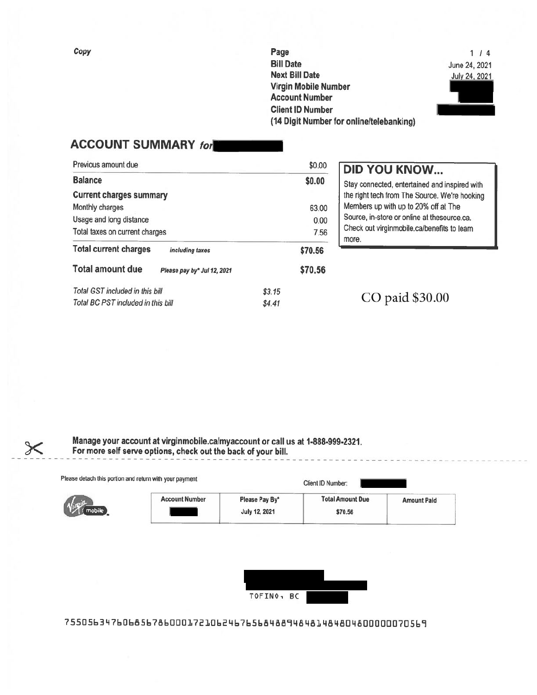Page **Bill Date Next Bill Date** Virgin Mobile Number **Account Number Client ID Number** (14 Digit Number for online/telebanking)

 $1/4$ June 24, 2021 July 24, 2021

### **ACCOUNT SUMMARY for**

| Previous amount due                                    | \$0.00  |
|--------------------------------------------------------|---------|
| <b>Balance</b>                                         | \$0.00  |
| <b>Current charges summary</b>                         |         |
| Monthly charges                                        | 63.00   |
| Usage and long distance                                | 0.00    |
| Total taxes on current charges                         | 7.56    |
| <b>Total current charges</b><br>including taxes        | \$70.56 |
| <b>Total amount due</b><br>Please pay by* Jul 12, 2021 | \$70.56 |
| Total GST included in this bill                        | \$3.15  |
| Total BC PST included in this bill                     | \$4.41  |

### **DID YOU KNOW...**

Stay connected, entertained and inspired with the right tech from The Source. We're hooking Members up with up to 20% off at The Source, in-store or online at thesource.ca. Check out virginmobile.ca/benefits to learn more.

CO paid \$30.00

Manage your account at virginmobile.ca/myaccount or call us at 1-888-999-2321. For more self serve options, check out the back of your bill.

| Please detach this portion and return with your payment |                       |                                        | Client ID Number:                  |                    |
|---------------------------------------------------------|-----------------------|----------------------------------------|------------------------------------|--------------------|
| mobile                                                  | <b>Account Number</b> | Please Pay By*<br><b>July 12, 2021</b> | <b>Total Amount Due</b><br>\$70.56 | <b>Amount Paid</b> |

| TOFINO, BC<br>69 A.W<br>アイエン アイアンドロー |  |
|--------------------------------------|--|

75505634760685678600017210624676568488948481484804800000070569

Copy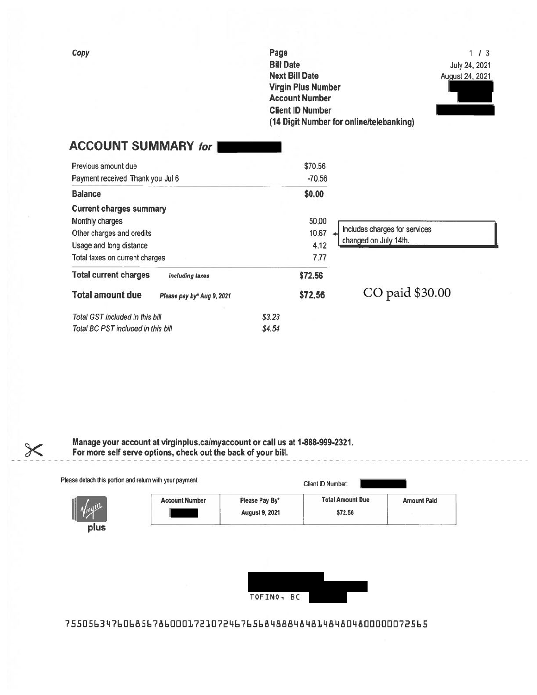| (14 Digit Number for online/telebanking) |
|------------------------------------------|
|                                          |

 $1/3$ July 24, 2021 August 24, 2021

# **ACCOUNT SUMMARY for |**

| Previous amount due                                   | \$70.56  |                               |
|-------------------------------------------------------|----------|-------------------------------|
| Payment received Thank you Jul 6                      | $-70.56$ |                               |
| <b>Balance</b>                                        | \$0.00   |                               |
| <b>Current charges summary</b>                        |          |                               |
| Monthly charges                                       | 50.00    |                               |
| Other charges and credits                             | 10.67    | Includes charges for services |
| Usage and long distance                               | 4.12     | changed on July 14th.         |
| Total taxes on current charges                        | 7.77     |                               |
| <b>Total current charges</b><br>including taxes       | \$72.56  |                               |
| <b>Total amount due</b><br>Please pay by* Aug 9, 2021 | \$72.56  | CO paid \$30.00               |
| Total GST included in this bill                       | \$3.23   |                               |
| Total BC PST included in this bill                    | \$4.54   |                               |

Manage your account at virginplus.ca/myaccount or call us at 1-888-999-2321.<br>For more self serve options, check out the back of your bill.

|                       |                                         | Client ID Number:                  |                    |
|-----------------------|-----------------------------------------|------------------------------------|--------------------|
| <b>Account Number</b> | Please Pay By*<br><b>August 9, 2021</b> | <b>Total Amount Due</b><br>\$72.56 | <b>Amount Paid</b> |



7550563476068567860001721072467656848848481484804800000072565

Copy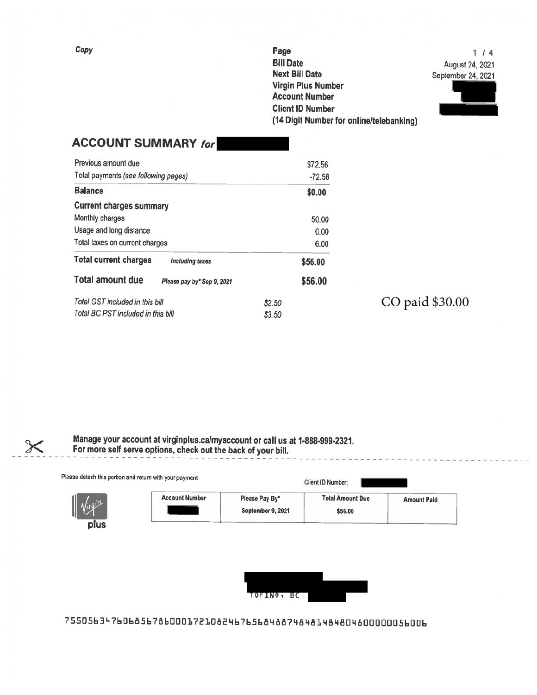Page **Bill Date Next Bill Date Virgin Plus Number Account Number Client ID Number** (14 Digit Number for online/telebanking)

 $1/4$ August 24, 2021 September 24, 2021



| <b>ACCOUNT SUMMARY for</b>                            |          |
|-------------------------------------------------------|----------|
| Previous amount due                                   | \$72.56  |
| Total payments (see following pages)                  | $-72.56$ |
| <b>Balance</b>                                        | \$0.00   |
| <b>Current charges summary</b>                        |          |
| Monthly charges                                       | 50.00    |
| Usage and long distance                               | 0.00     |
| Total taxes on current charges                        | 6.00     |
| <b>Total current charges</b><br>including taxes       | \$56.00  |
| <b>Total amount due</b><br>Please pay by* Sep 9, 2021 | \$56.00  |
| Total GST included in this bill                       | \$2.50   |
| Total BC PST included in this bill                    | \$3.50   |

CO paid \$30.00

Manage your account at virginplus.ca/myaccount or call us at 1-888-999-2321.<br>For more self serve options, check out the back of your bill.

|          | Please detach this portion and return with your payment |                                     | Client ID Number:                  |                    |
|----------|---------------------------------------------------------|-------------------------------------|------------------------------------|--------------------|
| - Virgin | <b>Account Number</b>                                   | Please Pay By*<br>September 9, 2021 | <b>Total Amount Due</b><br>\$56.00 | <b>Amount Paid</b> |



75505634760685678600017210824676568488748481484804800000056006

Copy